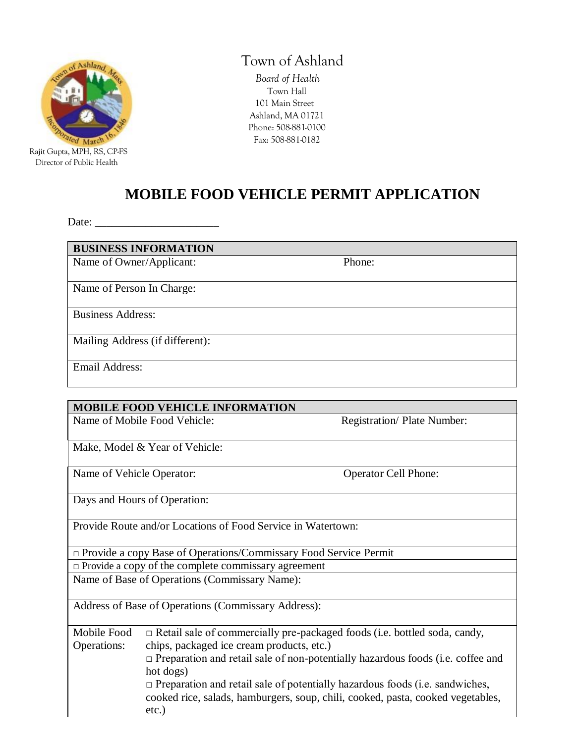

Director of Public Health

# **Town of Ashland**

 *Board of Health* Town Hall 101 Main Street Ashland, MA 01721 Phone: 508-881-0100 Fax: 508-881-0182

# **MOBILE FOOD VEHICLE PERMIT APPLICATION**

Date: \_\_\_\_\_\_\_\_\_\_\_\_\_\_\_\_\_\_\_\_\_\_

| <b>BUSINESS INFORMATION</b>     |        |  |
|---------------------------------|--------|--|
| Name of Owner/Applicant:        | Phone: |  |
|                                 |        |  |
| Name of Person In Charge:       |        |  |
|                                 |        |  |
| <b>Business Address:</b>        |        |  |
|                                 |        |  |
| Mailing Address (if different): |        |  |
|                                 |        |  |
| Email Address:                  |        |  |
|                                 |        |  |

### **MOBILE FOOD VEHICLE INFORMATION**

Name of Mobile Food Vehicle: Registration/ Plate Number:

Make, Model & Year of Vehicle:

Name of Vehicle Operator: Operator: Operator Cell Phone:

Days and Hours of Operation:

Provide Route and/or Locations of Food Service in Watertown:

□ Provide a copy Base of Operations/Commissary Food Service Permit

□ Provide a copy of the complete commissary agreement

Name of Base of Operations (Commissary Name):

Address of Base of Operations (Commissary Address):

| Mobile Food | $\Box$ Retail sale of commercially pre-packaged foods (i.e. bottled soda, candy,       |
|-------------|----------------------------------------------------------------------------------------|
| Operations: | chips, packaged ice cream products, etc.)                                              |
|             | $\Box$ Preparation and retail sale of non-potentially hazardous foods (i.e. coffee and |
|             | hot dogs)                                                                              |
|             | $\Box$ Preparation and retail sale of potentially hazardous foods (i.e. sandwiches,    |
|             | cooked rice, salads, hamburgers, soup, chili, cooked, pasta, cooked vegetables,        |
|             | $etc.$ )                                                                               |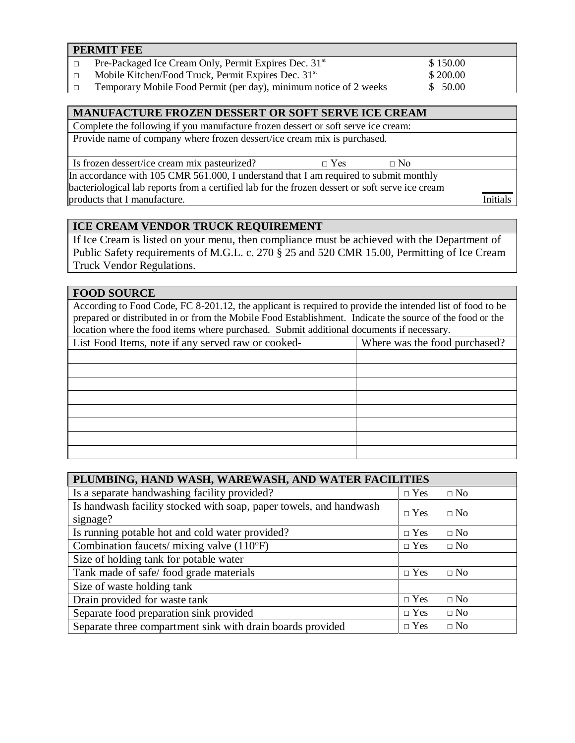| <b>PERMIT FEE</b>                                                 |          |  |
|-------------------------------------------------------------------|----------|--|
| Pre-Packaged Ice Cream Only, Permit Expires Dec. 31 <sup>st</sup> | \$150.00 |  |
| Mobile Kitchen/Food Truck, Permit Expires Dec. 31 <sup>st</sup>   | \$200.00 |  |
| Temporary Mobile Food Permit (per day), minimum notice of 2 weeks | \$50.00  |  |

#### **MANUFACTURE FROZEN DESSERT OR SOFT SERVE ICE CREAM**

Complete the following if you manufacture frozen dessert or soft serve ice cream: Provide name of company where frozen dessert/ice cream mix is purchased.

Is frozen dessert/ice cream mix pasteurized?  $□$  Yes  $□$  No

In accordance with 105 CMR 561.000, I understand that I am required to submit monthly bacteriological lab reports from a certified lab for the frozen dessert or soft serve ice cream products that I manufacture. Initials

# **ICE CREAM VENDOR TRUCK REQUIREMENT**

If Ice Cream is listed on your menu, then compliance must be achieved with the Department of Public Safety requirements of M.G.L. c. 270 § 25 and 520 CMR 15.00, Permitting of Ice Cream Truck Vendor Regulations.

### **FOOD SOURCE**

According to Food Code, FC 8-201.12, the applicant is required to provide the intended list of food to be prepared or distributed in or from the Mobile Food Establishment. Indicate the source of the food or the location where the food items where purchased. Submit additional documents if necessary.

| List Food Items, note if any served raw or cooked- | Where was the food purchased? |
|----------------------------------------------------|-------------------------------|
|                                                    |                               |
|                                                    |                               |
|                                                    |                               |
|                                                    |                               |
|                                                    |                               |
|                                                    |                               |
|                                                    |                               |
|                                                    |                               |

| PLUMBING, HAND WASH, WAREWASH, AND WATER FACILITIES                |            |              |  |
|--------------------------------------------------------------------|------------|--------------|--|
| Is a separate handwashing facility provided?                       | $\Box$ Yes | $\Box$ No    |  |
| Is handwash facility stocked with soap, paper towels, and handwash | $\Box$ Yes | $\Box$ No    |  |
| signage?                                                           |            |              |  |
| Is running potable hot and cold water provided?                    | $\Box$ Yes | $\Box$ No    |  |
| Combination faucets/ mixing valve $(110^{\circ}F)$                 | $\Box$ Yes | $\Box$ No    |  |
| Size of holding tank for potable water                             |            |              |  |
| Tank made of safe/food grade materials                             | $\Box$ Yes | $\Box$ No    |  |
| Size of waste holding tank                                         |            |              |  |
| Drain provided for waste tank                                      | $\Box$ Yes | $\square$ No |  |
| Separate food preparation sink provided                            | $\Box$ Yes | $\Box$ No    |  |
| Separate three compartment sink with drain boards provided         | $\Box$ Yes | $\Box$ No    |  |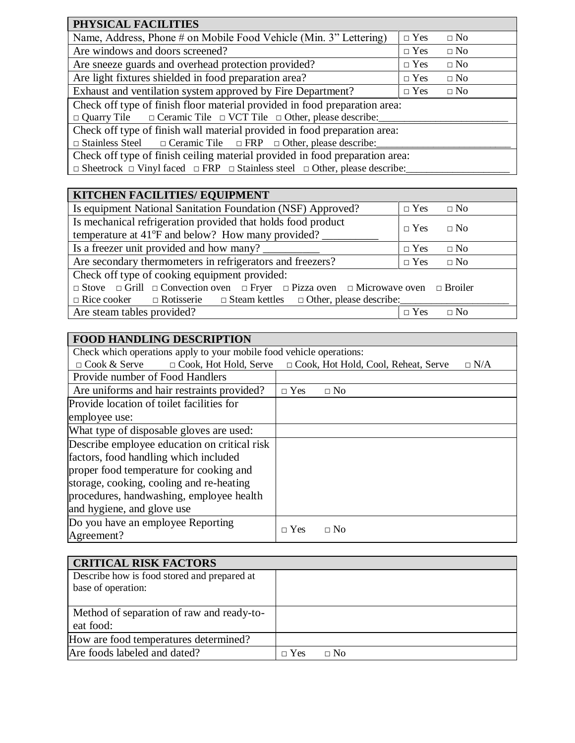| PHYSICAL FACILITIES                                                                                  |            |           |  |
|------------------------------------------------------------------------------------------------------|------------|-----------|--|
| Name, Address, Phone # on Mobile Food Vehicle (Min. 3" Lettering)                                    | $\Box$ Yes | $\Box$ No |  |
| Are windows and doors screened?                                                                      | $\Box$ Yes | $\Box$ No |  |
| Are sneeze guards and overhead protection provided?                                                  | $\Box$ Yes | $\Box$ No |  |
| Are light fixtures shielded in food preparation area?                                                | $\Box$ Yes | $\Box$ No |  |
| Exhaust and ventilation system approved by Fire Department?                                          |            | $\Box$ No |  |
| Check off type of finish floor material provided in food preparation area:                           |            |           |  |
| $\Box$ Quarry Tile $\Box$ Ceramic Tile $\Box$ VCT Tile $\Box$ Other, please describe:                |            |           |  |
| Check off type of finish wall material provided in food preparation area:                            |            |           |  |
| $\Box$ Stainless Steel $\Box$ Ceramic Tile $\Box$ FRP $\Box$ Other, please describe:                 |            |           |  |
| Check off type of finish ceiling material provided in food preparation area:                         |            |           |  |
| $\Box$ Sheetrock $\Box$ Vinyl faced $\Box$ FRP $\Box$ Stainless steel $\Box$ Other, please describe: |            |           |  |

| KITCHEN FACILITIES/ EQUIPMENT                                                                                        |            |           |  |
|----------------------------------------------------------------------------------------------------------------------|------------|-----------|--|
| Is equipment National Sanitation Foundation (NSF) Approved?                                                          | $\Box$ Yes | $\Box$ No |  |
| Is mechanical refrigeration provided that holds food product                                                         |            |           |  |
| $\Box$ Yes<br>$\Box$ No<br>temperature at 41°F and below? How many provided?                                         |            |           |  |
| Is a freezer unit provided and how many?                                                                             |            | $\Box$ No |  |
| Are secondary thermometers in refrigerators and freezers?<br>$\Box$ Yes<br>$\Box$ No                                 |            |           |  |
| Check off type of cooking equipment provided:                                                                        |            |           |  |
| $\Box$ Stove $\Box$ Grill $\Box$ Convection oven $\Box$ Fryer $\Box$ Pizza oven $\Box$ Microwave oven $\Box$ Broiler |            |           |  |
| $\Box$ Rice cooker $\Box$ Rotisserie $\Box$ Steam kettles $\Box$ Other, please describe:                             |            |           |  |
| Are steam tables provided?                                                                                           | $\Box$ Yes | $\Box$ No |  |

| <b>FOOD HANDLING DESCRIPTION</b>                                     |                                                     |
|----------------------------------------------------------------------|-----------------------------------------------------|
| Check which operations apply to your mobile food vehicle operations: |                                                     |
| $\Box$ Cook & Serve $\Box$ Cook, Hot Hold, Serve                     | □ Cook, Hot Hold, Cool, Reheat, Serve<br>$\Box$ N/A |
| Provide number of Food Handlers                                      |                                                     |
| Are uniforms and hair restraints provided?                           | $\Box$ Yes<br>$\Box$ No                             |
| Provide location of toilet facilities for                            |                                                     |
| employee use:                                                        |                                                     |
| What type of disposable gloves are used:                             |                                                     |
| Describe employee education on critical risk                         |                                                     |
| factors, food handling which included                                |                                                     |
| proper food temperature for cooking and                              |                                                     |
| storage, cooking, cooling and re-heating                             |                                                     |
| procedures, handwashing, employee health                             |                                                     |
| and hygiene, and glove use                                           |                                                     |
| Do you have an employee Reporting                                    | $\Box$ Yes<br>$\Box$ No                             |
| Agreement?                                                           |                                                     |

| <b>CRITICAL RISK FACTORS</b>                                      |            |           |  |
|-------------------------------------------------------------------|------------|-----------|--|
| Describe how is food stored and prepared at<br>base of operation: |            |           |  |
| Method of separation of raw and ready-to-                         |            |           |  |
| eat food:                                                         |            |           |  |
| How are food temperatures determined?                             |            |           |  |
| Are foods labeled and dated?                                      | $\Box$ Yes | $\Box$ No |  |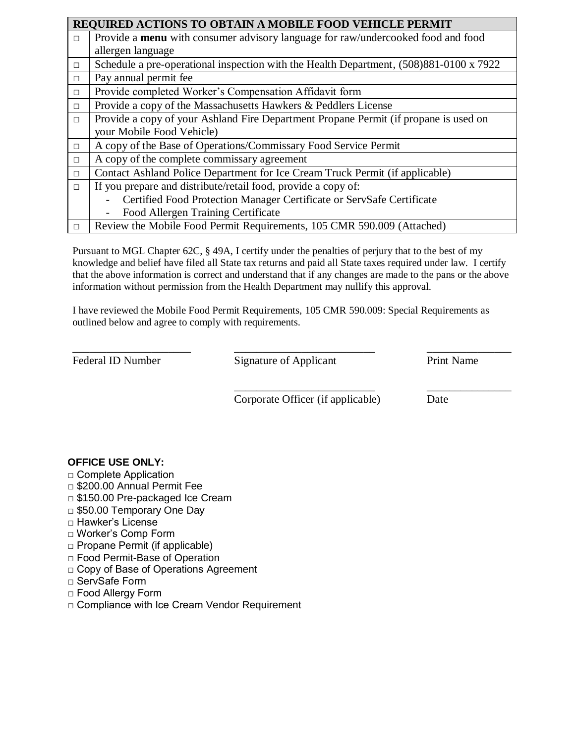|        | REQUIRED ACTIONS TO OBTAIN A MOBILE FOOD VEHICLE PERMIT                                |  |  |  |
|--------|----------------------------------------------------------------------------------------|--|--|--|
| $\Box$ | Provide a menu with consumer advisory language for raw/undercooked food and food       |  |  |  |
|        | allergen language                                                                      |  |  |  |
| $\Box$ | Schedule a pre-operational inspection with the Health Department, (508)881-0100 x 7922 |  |  |  |
| $\Box$ | Pay annual permit fee                                                                  |  |  |  |
| $\Box$ | Provide completed Worker's Compensation Affidavit form                                 |  |  |  |
| $\Box$ | Provide a copy of the Massachusetts Hawkers & Peddlers License                         |  |  |  |
| $\Box$ | Provide a copy of your Ashland Fire Department Propane Permit (if propane is used on   |  |  |  |
|        | your Mobile Food Vehicle)                                                              |  |  |  |
| $\Box$ | A copy of the Base of Operations/Commissary Food Service Permit                        |  |  |  |
| $\Box$ | A copy of the complete commissary agreement                                            |  |  |  |
| $\Box$ | Contact Ashland Police Department for Ice Cream Truck Permit (if applicable)           |  |  |  |
| $\Box$ | If you prepare and distribute/retail food, provide a copy of:                          |  |  |  |
|        | Certified Food Protection Manager Certificate or ServSafe Certificate                  |  |  |  |
|        | Food Allergen Training Certificate                                                     |  |  |  |
| $\Box$ | Review the Mobile Food Permit Requirements, 105 CMR 590.009 (Attached)                 |  |  |  |

Pursuant to MGL Chapter 62C, § 49A, I certify under the penalties of perjury that to the best of my knowledge and belief have filed all State tax returns and paid all State taxes required under law. I certify that the above information is correct and understand that if any changes are made to the pans or the above information without permission from the Health Department may nullify this approval.

I have reviewed the Mobile Food Permit Requirements, 105 CMR 590.009: Special Requirements as outlined below and agree to comply with requirements.

\_\_\_\_\_\_\_\_\_\_\_\_\_\_\_\_\_\_\_\_\_ \_\_\_\_\_\_\_\_\_\_\_\_\_\_\_\_\_\_\_\_\_\_\_\_\_ \_\_\_\_\_\_\_\_\_\_\_\_\_\_\_ Federal ID Number Signature of Applicant Print Name

Corporate Officer (if applicable) Date

\_\_\_\_\_\_\_\_\_\_\_\_\_\_\_\_\_\_\_\_\_\_\_\_\_ \_\_\_\_\_\_\_\_\_\_\_\_\_\_\_

### **OFFICE USE ONLY:**

- □ Complete Application
- **□** \$200.00 Annual Permit Fee
- **□** \$150.00 Pre-packaged Ice Cream
- □ \$50.00 Temporary One Day
- □ Hawker's License
- □ Worker's Comp Form
- □ Propane Permit (if applicable)
- □ Food Permit-Base of Operation
- □ Copy of Base of Operations Agreement
- □ ServSafe Form
- □ Food Allergy Form
- □ Compliance with Ice Cream Vendor Requirement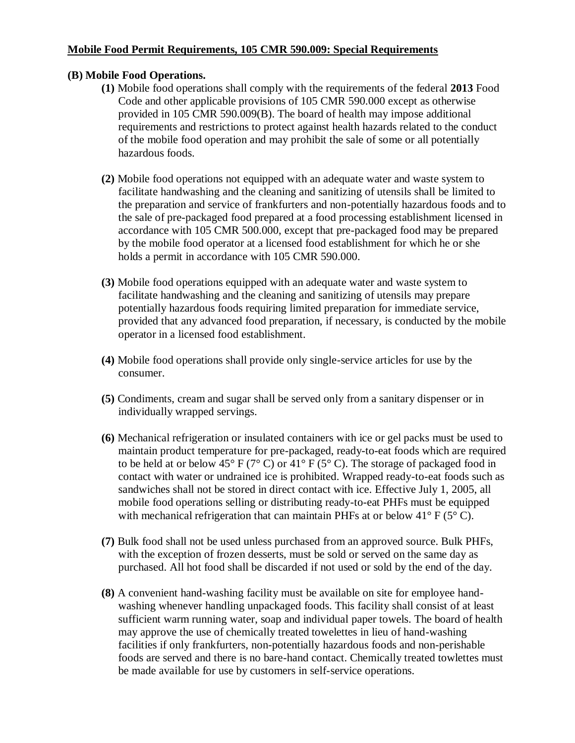### **Mobile Food Permit Requirements, 105 CMR 590.009: Special Requirements**

### **(B) Mobile Food Operations.**

- **(1)** Mobile food operations shall comply with the requirements of the federal **2013** Food Code and other applicable provisions of 105 CMR 590.000 except as otherwise provided in 105 CMR 590.009(B). The board of health may impose additional requirements and restrictions to protect against health hazards related to the conduct of the mobile food operation and may prohibit the sale of some or all potentially hazardous foods.
- **(2)** Mobile food operations not equipped with an adequate water and waste system to facilitate handwashing and the cleaning and sanitizing of utensils shall be limited to the preparation and service of frankfurters and non-potentially hazardous foods and to the sale of pre-packaged food prepared at a food processing establishment licensed in accordance with 105 CMR 500.000, except that pre-packaged food may be prepared by the mobile food operator at a licensed food establishment for which he or she holds a permit in accordance with 105 CMR 590.000.
- **(3)** Mobile food operations equipped with an adequate water and waste system to facilitate handwashing and the cleaning and sanitizing of utensils may prepare potentially hazardous foods requiring limited preparation for immediate service, provided that any advanced food preparation, if necessary, is conducted by the mobile operator in a licensed food establishment.
- **(4)** Mobile food operations shall provide only single-service articles for use by the consumer.
- **(5)** Condiments, cream and sugar shall be served only from a sanitary dispenser or in individually wrapped servings.
- **(6)** Mechanical refrigeration or insulated containers with ice or gel packs must be used to maintain product temperature for pre-packaged, ready-to-eat foods which are required to be held at or below  $45^{\circ}$  F (7° C) or  $41^{\circ}$  F (5° C). The storage of packaged food in contact with water or undrained ice is prohibited. Wrapped ready-to-eat foods such as sandwiches shall not be stored in direct contact with ice. Effective July 1, 2005, all mobile food operations selling or distributing ready-to-eat PHFs must be equipped with mechanical refrigeration that can maintain PHFs at or below  $41^{\circ}$  F (5° C).
- **(7)** Bulk food shall not be used unless purchased from an approved source. Bulk PHFs, with the exception of frozen desserts, must be sold or served on the same day as purchased. All hot food shall be discarded if not used or sold by the end of the day.
- **(8)** A convenient hand-washing facility must be available on site for employee handwashing whenever handling unpackaged foods. This facility shall consist of at least sufficient warm running water, soap and individual paper towels. The board of health may approve the use of chemically treated towelettes in lieu of hand-washing facilities if only frankfurters, non-potentially hazardous foods and non-perishable foods are served and there is no bare-hand contact. Chemically treated towlettes must be made available for use by customers in self-service operations.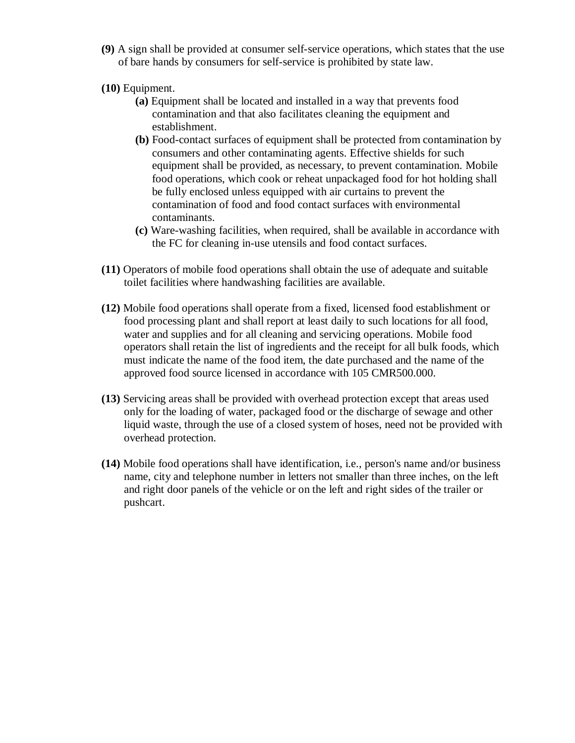- **(9)** A sign shall be provided at consumer self-service operations, which states that the use of bare hands by consumers for self-service is prohibited by state law.
- **(10)** Equipment.
	- **(a)** Equipment shall be located and installed in a way that prevents food contamination and that also facilitates cleaning the equipment and establishment.
	- **(b)** Food-contact surfaces of equipment shall be protected from contamination by consumers and other contaminating agents. Effective shields for such equipment shall be provided, as necessary, to prevent contamination. Mobile food operations, which cook or reheat unpackaged food for hot holding shall be fully enclosed unless equipped with air curtains to prevent the contamination of food and food contact surfaces with environmental contaminants.
	- **(c)** Ware-washing facilities, when required, shall be available in accordance with the FC for cleaning in-use utensils and food contact surfaces.
- **(11)** Operators of mobile food operations shall obtain the use of adequate and suitable toilet facilities where handwashing facilities are available.
- **(12)** Mobile food operations shall operate from a fixed, licensed food establishment or food processing plant and shall report at least daily to such locations for all food, water and supplies and for all cleaning and servicing operations. Mobile food operators shall retain the list of ingredients and the receipt for all bulk foods, which must indicate the name of the food item, the date purchased and the name of the approved food source licensed in accordance with 105 CMR500.000.
- **(13)** Servicing areas shall be provided with overhead protection except that areas used only for the loading of water, packaged food or the discharge of sewage and other liquid waste, through the use of a closed system of hoses, need not be provided with overhead protection.
- **(14)** Mobile food operations shall have identification, i.e., person's name and/or business name, city and telephone number in letters not smaller than three inches, on the left and right door panels of the vehicle or on the left and right sides of the trailer or pushcart.